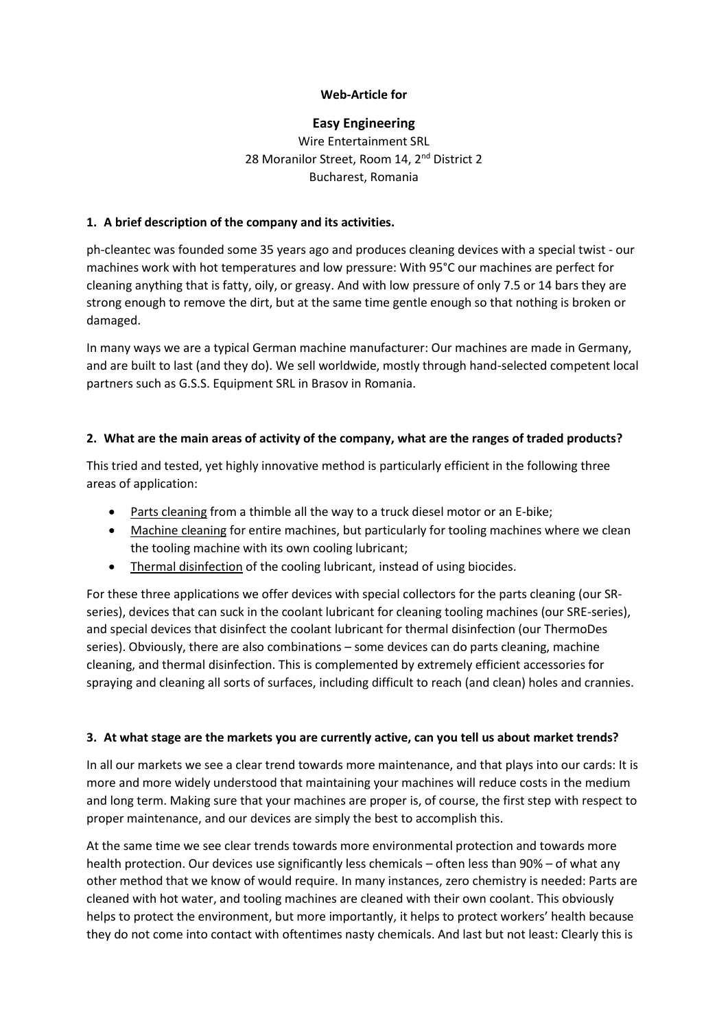### **Web-Article for**

### **Easy Engineering**

# Wire Entertainment SRL 28 Moranilor Street, Room 14, 2<sup>nd</sup> District 2 Bucharest, Romania

### **1. A brief description of the company and its activities.**

ph-cleantec was founded some 35 years ago and produces cleaning devices with a special twist - our machines work with hot temperatures and low pressure: With 95°C our machines are perfect for cleaning anything that is fatty, oily, or greasy. And with low pressure of only 7.5 or 14 bars they are strong enough to remove the dirt, but at the same time gentle enough so that nothing is broken or damaged.

In many ways we are a typical German machine manufacturer: Our machines are made in Germany, and are built to last (and they do). We sell worldwide, mostly through hand-selected competent local partners such as G.S.S. Equipment SRL in Brasov in Romania.

#### **2. What are the main areas of activity of the company, what are the ranges of traded products?**

This tried and tested, yet highly innovative method is particularly efficient in the following three areas of application:

- Parts cleaning from a thimble all the way to a truck diesel motor or an E-bike;
- Machine cleaning for entire machines, but particularly for tooling machines where we clean the tooling machine with its own cooling lubricant;
- Thermal disinfection of the cooling lubricant, instead of using biocides.

For these three applications we offer devices with special collectors for the parts cleaning (our SRseries), devices that can suck in the coolant lubricant for cleaning tooling machines (our SRE-series), and special devices that disinfect the coolant lubricant for thermal disinfection (our ThermoDes series). Obviously, there are also combinations – some devices can do parts cleaning, machine cleaning, and thermal disinfection. This is complemented by extremely efficient accessories for spraying and cleaning all sorts of surfaces, including difficult to reach (and clean) holes and crannies.

#### **3. At what stage are the markets you are currently active, can you tell us about market trends?**

In all our markets we see a clear trend towards more maintenance, and that plays into our cards: It is more and more widely understood that maintaining your machines will reduce costs in the medium and long term. Making sure that your machines are proper is, of course, the first step with respect to proper maintenance, and our devices are simply the best to accomplish this.

At the same time we see clear trends towards more environmental protection and towards more health protection. Our devices use significantly less chemicals – often less than 90% – of what any other method that we know of would require. In many instances, zero chemistry is needed: Parts are cleaned with hot water, and tooling machines are cleaned with their own coolant. This obviously helps to protect the environment, but more importantly, it helps to protect workers' health because they do not come into contact with oftentimes nasty chemicals. And last but not least: Clearly this is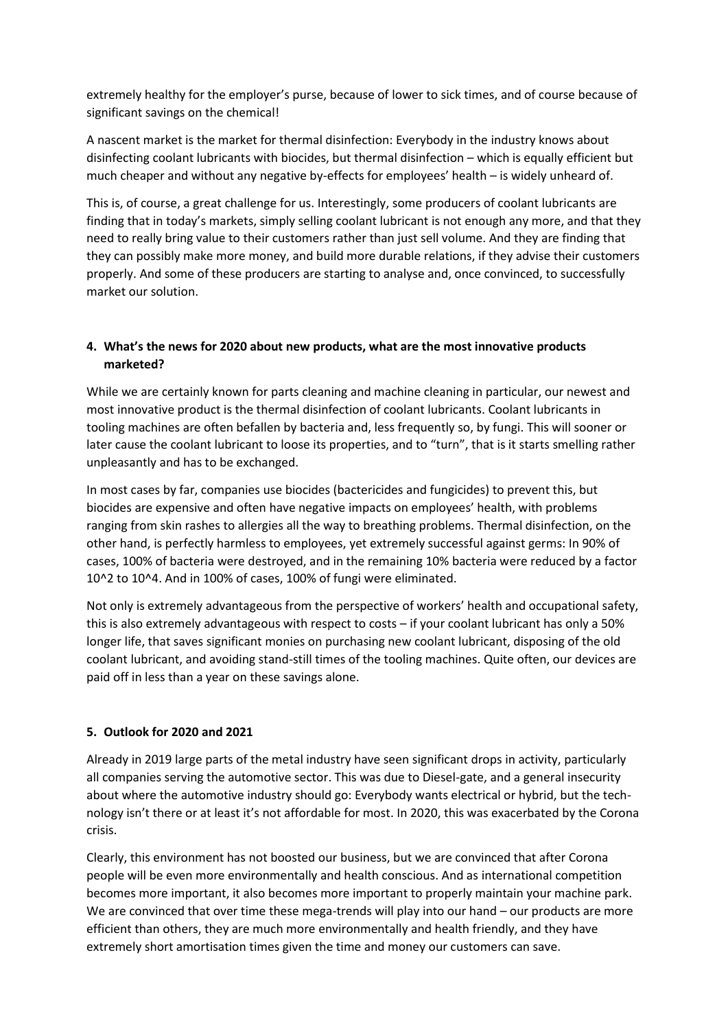extremely healthy for the employer's purse, because of lower to sick times, and of course because of significant savings on the chemical!

A nascent market is the market for thermal disinfection: Everybody in the industry knows about disinfecting coolant lubricants with biocides, but thermal disinfection – which is equally efficient but much cheaper and without any negative by-effects for employees' health – is widely unheard of.

This is, of course, a great challenge for us. Interestingly, some producers of coolant lubricants are finding that in today's markets, simply selling coolant lubricant is not enough any more, and that they need to really bring value to their customers rather than just sell volume. And they are finding that they can possibly make more money, and build more durable relations, if they advise their customers properly. And some of these producers are starting to analyse and, once convinced, to successfully market our solution.

# **4. What's the news for 2020 about new products, what are the most innovative products marketed?**

While we are certainly known for parts cleaning and machine cleaning in particular, our newest and most innovative product is the thermal disinfection of coolant lubricants. Coolant lubricants in tooling machines are often befallen by bacteria and, less frequently so, by fungi. This will sooner or later cause the coolant lubricant to loose its properties, and to "turn", that is it starts smelling rather unpleasantly and has to be exchanged.

In most cases by far, companies use biocides (bactericides and fungicides) to prevent this, but biocides are expensive and often have negative impacts on employees' health, with problems ranging from skin rashes to allergies all the way to breathing problems. Thermal disinfection, on the other hand, is perfectly harmless to employees, yet extremely successful against germs: In 90% of cases, 100% of bacteria were destroyed, and in the remaining 10% bacteria were reduced by a factor 10^2 to 10^4. And in 100% of cases, 100% of fungi were eliminated.

Not only is extremely advantageous from the perspective of workers' health and occupational safety, this is also extremely advantageous with respect to costs – if your coolant lubricant has only a 50% longer life, that saves significant monies on purchasing new coolant lubricant, disposing of the old coolant lubricant, and avoiding stand-still times of the tooling machines. Quite often, our devices are paid off in less than a year on these savings alone.

#### **5. Outlook for 2020 and 2021**

Already in 2019 large parts of the metal industry have seen significant drops in activity, particularly all companies serving the automotive sector. This was due to Diesel-gate, and a general insecurity about where the automotive industry should go: Everybody wants electrical or hybrid, but the technology isn't there or at least it's not affordable for most. In 2020, this was exacerbated by the Corona crisis.

Clearly, this environment has not boosted our business, but we are convinced that after Corona people will be even more environmentally and health conscious. And as international competition becomes more important, it also becomes more important to properly maintain your machine park. We are convinced that over time these mega-trends will play into our hand – our products are more efficient than others, they are much more environmentally and health friendly, and they have extremely short amortisation times given the time and money our customers can save.